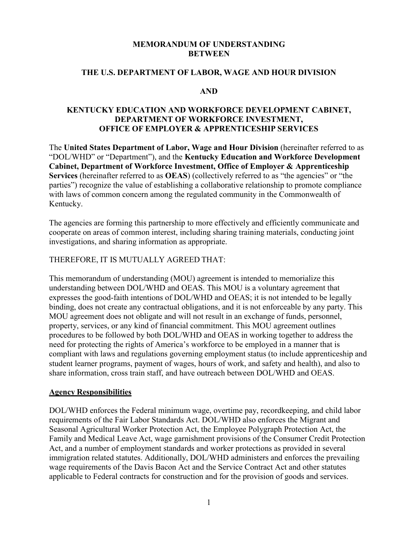#### **MEMORANDUM OF UNDERSTANDING BETWEEN**

#### **THE U.S. DEPARTMENT OF LABOR, WAGE AND HOUR DIVISION**

#### **AND**

### **KENTUCKY EDUCATION AND WORKFORCE DEVELOPMENT CABINET, DEPARTMENT OF WORKFORCE INVESTMENT, OFFICE OF EMPLOYER & APPRENTICESHIP SERVICES**

The **United States Department of Labor, Wage and Hour Division** (hereinafter referred to as "DOL/WHD" or "Department"), and the **Kentucky Education and Workforce Development Cabinet, Department of Workforce Investment, Office of Employer & Apprenticeship Services** (hereinafter referred to as **OEAS**) (collectively referred to as "the agencies" or "the parties") recognize the value of establishing a collaborative relationship to promote compliance with laws of common concern among the regulated community in the Commonwealth of Kentucky.

The agencies are forming this partnership to more effectively and efficiently communicate and cooperate on areas of common interest, including sharing training materials, conducting joint investigations, and sharing information as appropriate.

#### THEREFORE, IT IS MUTUALLY AGREED THAT:

This memorandum of understanding (MOU) agreement is intended to memorialize this understanding between DOL/WHD and OEAS. This MOU is a voluntary agreement that expresses the good-faith intentions of DOL/WHD and OEAS; it is not intended to be legally binding, does not create any contractual obligations, and it is not enforceable by any party. This MOU agreement does not obligate and will not result in an exchange of funds, personnel, property, services, or any kind of financial commitment. This MOU agreement outlines procedures to be followed by both DOL/WHD and OEAS in working together to address the need for protecting the rights of America's workforce to be employed in a manner that is compliant with laws and regulations governing employment status (to include apprenticeship and student learner programs, payment of wages, hours of work, and safety and health), and also to share information, cross train staff, and have outreach between DOL/WHD and OEAS.

#### **Agency Responsibilities**

DOL/WHD enforces the Federal minimum wage, overtime pay, recordkeeping, and child labor requirements of the Fair Labor Standards Act. DOL/WHD also enforces the Migrant and Seasonal Agricultural Worker Protection Act, the Employee Polygraph Protection Act, the Family and Medical Leave Act, wage garnishment provisions of the Consumer Credit Protection Act, and a number of employment standards and worker protections as provided in several immigration related statutes. Additionally, DOL/WHD administers and enforces the prevailing wage requirements of the Davis Bacon Act and the Service Contract Act and other statutes applicable to Federal contracts for construction and for the provision of goods and services.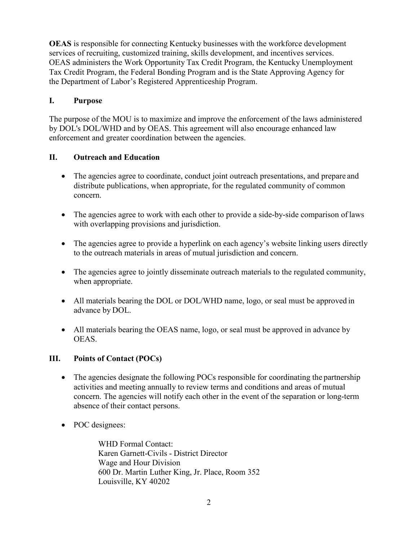**OEAS** is responsible for connecting Kentucky businesses with the workforce development services of recruiting, customized training, skills development, and incentives services. OEAS administers the Work Opportunity Tax Credit Program, the Kentucky Unemployment Tax Credit Program, the Federal Bonding Program and is the State Approving Agency for the Department of Labor's Registered Apprenticeship Program.

## **I. Purpose**

The purpose of the MOU is to maximize and improve the enforcement of the laws administered by DOL's DOL/WHD and by OEAS. This agreement will also encourage enhanced law enforcement and greater coordination between the agencies.

# **II. Outreach and Education**

- The agencies agree to coordinate, conduct joint outreach presentations, and prepare and distribute publications, when appropriate, for the regulated community of common concern.
- The agencies agree to work with each other to provide a side-by-side comparison of laws with overlapping provisions and jurisdiction.
- The agencies agree to provide a hyperlink on each agency's website linking users directly to the outreach materials in areas of mutual jurisdiction and concern.
- The agencies agree to jointly disseminate outreach materials to the regulated community, when appropriate.
- All materials bearing the DOL or DOL/WHD name, logo, or seal must be approved in advance by DOL.
- All materials bearing the OEAS name, logo, or seal must be approved in advance by OEAS.

## **III. Points of Contact (POCs)**

- The agencies designate the following POCs responsible for coordinating the partnership activities and meeting annually to review terms and conditions and areas of mutual concern. The agencies will notify each other in the event of the separation or long-term absence of their contact persons.
- POC designees:

WHD Formal Contact: Karen Garnett-Civils - District Director Wage and Hour Division 600 Dr. Martin Luther King, Jr. Place, Room 352 Louisville, KY 40202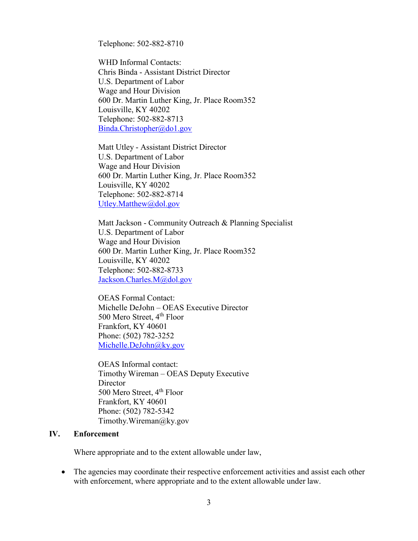Telephone: 502-882-8710

WHD Informal Contacts: Chris Binda - Assistant District Director U.S. Department of Labor Wage and Hour Division 600 Dr. Martin Luther King, Jr. Place Room352 Louisville, KY 40202 Telephone: 502-882-8713 [Binda.Christopher@do1.gov](mailto:Binda.Christopher@do1.gov)

Matt Utley - Assistant District Director U.S. Department of Labor Wage and Hour Division 600 Dr. Martin Luther King, Jr. Place Room352 Louisville, KY 40202 Telephone: 502-882-8714 [Utley.Matthew@dol.gov](mailto:Utley.Matthew@dol.gov)

Matt Jackson - Community Outreach & Planning Specialist U.S. Department of Labor Wage and Hour Division 600 Dr. Martin Luther King, Jr. Place Room352 Louisville, KY 40202 Telephone: 502-882-8733 [Jackson.Charles.M@dol.gov](mailto:Jackson.Charles.M@dol.gov)

OEAS Formal Contact: Michelle DeJohn – OEAS Executive Director 500 Mero Street, 4<sup>th</sup> Floor Frankfort, KY 40601 Phone: (502) 782-3252 [Michelle.DeJohn@ky.gov](mailto:Michelle.DeJohn@ky.gov)

OEAS Informal contact: Timothy Wireman – OEAS Deputy Executive **Director** 500 Mero Street, 4<sup>th</sup> Floor Frankfort, KY 40601 Phone: (502) 782-5342 [Timothy.Wireman@ky.gov](mailto:Timothy.Wireman@ky.gov)

#### **IV. Enforcement**

Where appropriate and to the extent allowable under law,

• The agencies may coordinate their respective enforcement activities and assist each other with enforcement, where appropriate and to the extent allowable under law.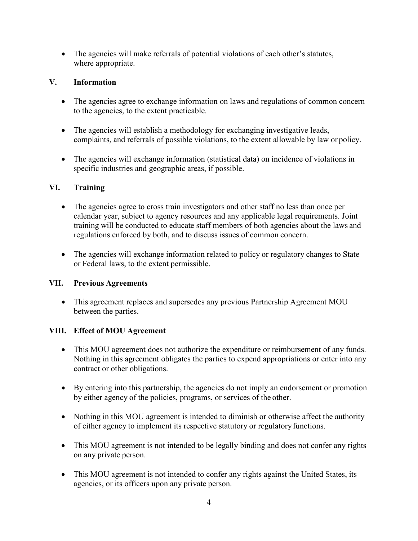• The agencies will make referrals of potential violations of each other's statutes, where appropriate.

# **V. Information**

- The agencies agree to exchange information on laws and regulations of common concern to the agencies, to the extent practicable.
- The agencies will establish a methodology for exchanging investigative leads, complaints, and referrals of possible violations, to the extent allowable by law or policy.
- The agencies will exchange information (statistical data) on incidence of violations in specific industries and geographic areas, if possible.

# **VI. Training**

- The agencies agree to cross train investigators and other staff no less than once per calendar year, subject to agency resources and any applicable legal requirements. Joint training will be conducted to educate staff members of both agencies about the laws and regulations enforced by both, and to discuss issues of common concern.
- The agencies will exchange information related to policy or regulatory changes to State or Federal laws, to the extent permissible.

## **VII. Previous Agreements**

• This agreement replaces and supersedes any previous Partnership Agreement MOU between the parties.

# **VIII. Effect of MOU Agreement**

- This MOU agreement does not authorize the expenditure or reimbursement of any funds. Nothing in this agreement obligates the parties to expend appropriations or enter into any contract or other obligations.
- By entering into this partnership, the agencies do not imply an endorsement or promotion by either agency of the policies, programs, or services of the other.
- Nothing in this MOU agreement is intended to diminish or otherwise affect the authority of either agency to implement its respective statutory or regulatory functions.
- This MOU agreement is not intended to be legally binding and does not confer any rights on any private person.
- This MOU agreement is not intended to confer any rights against the United States, its agencies, or its officers upon any private person.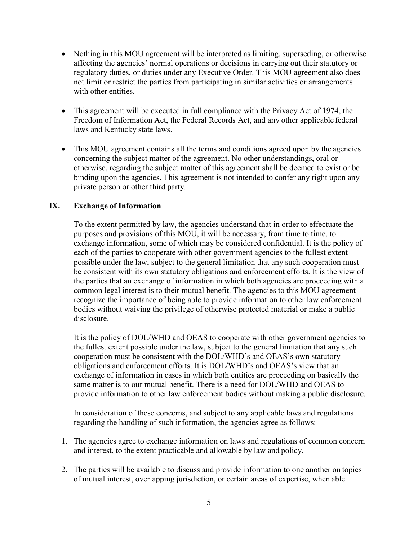- Nothing in this MOU agreement will be interpreted as limiting, superseding, or otherwise affecting the agencies' normal operations or decisions in carrying out their statutory or regulatory duties, or duties under any Executive Order. This MOU agreement also does not limit or restrict the parties from participating in similar activities or arrangements with other entities.
- This agreement will be executed in full compliance with the Privacy Act of 1974, the Freedom of Information Act, the Federal Records Act, and any other applicable federal laws and Kentucky state laws.
- This MOU agreement contains all the terms and conditions agreed upon by the agencies concerning the subject matter of the agreement. No other understandings, oral or otherwise, regarding the subject matter of this agreement shall be deemed to exist or be binding upon the agencies. This agreement is not intended to confer any right upon any private person or other third party.

## **IX. Exchange of Information**

To the extent permitted by law, the agencies understand that in order to effectuate the purposes and provisions of this MOU, it will be necessary, from time to time, to exchange information, some of which may be considered confidential. It is the policy of each of the parties to cooperate with other government agencies to the fullest extent possible under the law, subject to the general limitation that any such cooperation must be consistent with its own statutory obligations and enforcement efforts. It is the view of the parties that an exchange of information in which both agencies are proceeding with a common legal interest is to their mutual benefit. The agencies to this MOU agreement recognize the importance of being able to provide information to other law enforcement bodies without waiving the privilege of otherwise protected material or make a public disclosure.

It is the policy of DOL/WHD and OEAS to cooperate with other government agencies to the fullest extent possible under the law, subject to the general limitation that any such cooperation must be consistent with the DOL/WHD's and OEAS's own statutory obligations and enforcement efforts. It is DOL/WHD's and OEAS's view that an exchange of information in cases in which both entities are proceeding on basically the same matter is to our mutual benefit. There is a need for DOL/WHD and OEAS to provide information to other law enforcement bodies without making a public disclosure.

In consideration of these concerns, and subject to any applicable laws and regulations regarding the handling of such information, the agencies agree as follows:

- 1. The agencies agree to exchange information on laws and regulations of common concern and interest, to the extent practicable and allowable by law and policy.
- 2. The parties will be available to discuss and provide information to one another on topics of mutual interest, overlapping jurisdiction, or certain areas of expertise, when able.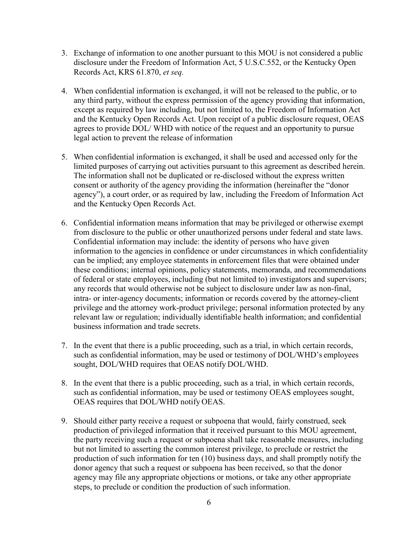- 3. Exchange of information to one another pursuant to this MOU is not considered a public disclosure under the Freedom of Information Act, 5 U.S.C.552, or the Kentucky Open Records Act, KRS 61.870, *et seq.*
- 4. When confidential information is exchanged, it will not be released to the public, or to any third party, without the express permission of the agency providing that information, except as required by law including, but not limited to, the Freedom of Information Act and the Kentucky Open Records Act. Upon receipt of a public disclosure request, OEAS agrees to provide DOL/ WHD with notice of the request and an opportunity to pursue legal action to prevent the release of information
- 5. When confidential information is exchanged, it shall be used and accessed only for the limited purposes of carrying out activities pursuant to this agreement as described herein. The information shall not be duplicated or re-disclosed without the express written consent or authority of the agency providing the information (hereinafter the "donor agency"), a court order, or as required by law, including the Freedom of Information Act and the Kentucky Open Records Act.
- 6. Confidential information means information that may be privileged or otherwise exempt from disclosure to the public or other unauthorized persons under federal and state laws. Confidential information may include: the identity of persons who have given information to the agencies in confidence or under circumstances in which confidentiality can be implied; any employee statements in enforcement files that were obtained under these conditions; internal opinions, policy statements, memoranda, and recommendations of federal or state employees, including (but not limited to) investigators and supervisors; any records that would otherwise not be subject to disclosure under law as non-final, intra- or inter-agency documents; information or records covered by the attorney-client privilege and the attorney work-product privilege; personal information protected by any relevant law or regulation; individually identifiable health information; and confidential business information and trade secrets.
- 7. In the event that there is a public proceeding, such as a trial, in which certain records, such as confidential information, may be used or testimony of DOL/WHD's employees sought, DOL/WHD requires that OEAS notify DOL/WHD.
- 8. In the event that there is a public proceeding, such as a trial, in which certain records, such as confidential information, may be used or testimony OEAS employees sought, OEAS requires that DOL/WHD notify OEAS.
- 9. Should either party receive a request or subpoena that would, fairly construed, seek production of privileged information that it received pursuant to this MOU agreement, the party receiving such a request or subpoena shall take reasonable measures, including but not limited to asserting the common interest privilege, to preclude or restrict the production of such information for ten (10) business days, and shall promptly notify the donor agency that such a request or subpoena has been received, so that the donor agency may file any appropriate objections or motions, or take any other appropriate steps, to preclude or condition the production of such information.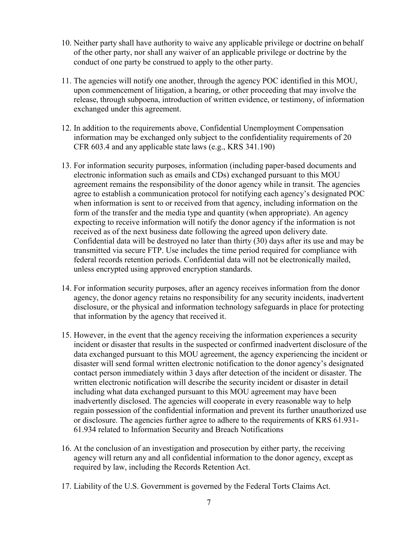- 10. Neither party shall have authority to waive any applicable privilege or doctrine on behalf of the other party, nor shall any waiver of an applicable privilege or doctrine by the conduct of one party be construed to apply to the other party.
- 11. The agencies will notify one another, through the agency POC identified in this MOU, upon commencement of litigation, a hearing, or other proceeding that may involve the release, through subpoena, introduction of written evidence, or testimony, of information exchanged under this agreement.
- 12. In addition to the requirements above, Confidential Unemployment Compensation information may be exchanged only subject to the confidentiality requirements of 20 CFR 603.4 and any applicable state laws (e.g., KRS 341.190)
- 13. For information security purposes, information (including paper-based documents and electronic information such as emails and CDs) exchanged pursuant to this MOU agreement remains the responsibility of the donor agency while in transit. The agencies agree to establish a communication protocol for notifying each agency's designated POC when information is sent to or received from that agency, including information on the form of the transfer and the media type and quantity (when appropriate). An agency expecting to receive information will notify the donor agency if the information is not received as of the next business date following the agreed upon delivery date. Confidential data will be destroyed no later than thirty (30) days after its use and may be transmitted via secure FTP. Use includes the time period required for compliance with federal records retention periods. Confidential data will not be electronically mailed, unless encrypted using approved encryption standards.
- 14. For information security purposes, after an agency receives information from the donor agency, the donor agency retains no responsibility for any security incidents, inadvertent disclosure, or the physical and information technology safeguards in place for protecting that information by the agency that received it.
- 15. However, in the event that the agency receiving the information experiences a security incident or disaster that results in the suspected or confirmed inadvertent disclosure of the data exchanged pursuant to this MOU agreement, the agency experiencing the incident or disaster will send formal written electronic notification to the donor agency's designated contact person immediately within 3 days after detection of the incident or disaster. The written electronic notification will describe the security incident or disaster in detail including what data exchanged pursuant to this MOU agreement may have been inadvertently disclosed. The agencies will cooperate in every reasonable way to help regain possession of the confidential information and prevent its further unauthorized use or disclosure. The agencies further agree to adhere to the requirements of KRS 61.931- 61.934 related to Information Security and Breach Notifications
- 16. At the conclusion of an investigation and prosecution by either party, the receiving agency will return any and all confidential information to the donor agency, except as required by law, including the Records Retention Act.
- 17. Liability of the U.S. Government is governed by the Federal Torts Claims Act.